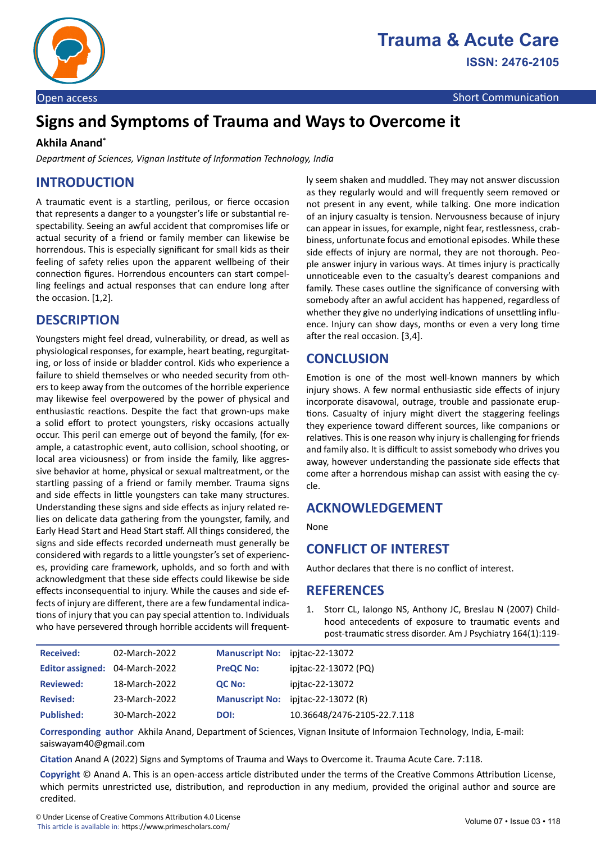

# **Signs and Symptoms of Trauma and Ways to Overcome it**

#### **Akhila Anand\***

*Department of Sciences, Vignan Institute of Information Technology, India* 

# **INTRODUCTION**

A traumatic event is a startling, perilous, or fierce occasion that represents a danger to a youngster's life or substantial respectability. Seeing an awful accident that compromises life or actual security of a friend or family member can likewise be horrendous. This is especially significant for small kids as their feeling of safety relies upon the apparent wellbeing of their connection figures. Horrendous encounters can start compelling feelings and actual responses that can endure long after the occasion. [1,2].

## **DESCRIPTION**

Youngsters might feel dread, vulnerability, or dread, as well as physiological responses, for example, heart beating, regurgitating, or loss of inside or bladder control. Kids who experience a failure to shield themselves or who needed security from others to keep away from the outcomes of the horrible experience may likewise feel overpowered by the power of physical and enthusiastic reactions. Despite the fact that grown-ups make a solid effort to protect youngsters, risky occasions actually occur. This peril can emerge out of beyond the family, (for example, a catastrophic event, auto collision, school shooting, or local area viciousness) or from inside the family, like aggressive behavior at home, physical or sexual maltreatment, or the startling passing of a friend or family member. Trauma signs and side effects in little youngsters can take many structures. Understanding these signs and side effects as injury related relies on delicate data gathering from the youngster, family, and Early Head Start and Head Start staff. All things considered, the signs and side effects recorded underneath must generally be considered with regards to a little youngster's set of experiences, providing care framework, upholds, and so forth and with acknowledgment that these side effects could likewise be side effects inconsequential to injury. While the causes and side effects of injury are different, there are a few fundamental indications of injury that you can pay special attention to. Individuals who have persevered through horrible accidents will frequently seem shaken and muddled. They may not answer discussion as they regularly would and will frequently seem removed or not present in any event, while talking. One more indication of an injury casualty is tension. Nervousness because of injury can appear in issues, for example, night fear, restlessness, crabbiness, unfortunate focus and emotional episodes. While these side effects of injury are normal, they are not thorough. People answer injury in various ways. At times injury is practically unnoticeable even to the casualty's dearest companions and family. These cases outline the significance of conversing with somebody after an awful accident has happened, regardless of whether they give no underlying indications of unsettling influence. Injury can show days, months or even a very long time after the real occasion. [3,4].

# **CONCLUSION**

Emotion is one of the most well-known manners by which injury shows. A few normal enthusiastic side effects of injury incorporate disavowal, outrage, trouble and passionate eruptions. Casualty of injury might divert the staggering feelings they experience toward different sources, like companions or relatives. This is one reason why injury is challenging for friends and family also. It is difficult to assist somebody who drives you away, however understanding the passionate side effects that come after a horrendous mishap can assist with easing the cycle.

## **ACKNOWLEDGEMENT**

None

## **CONFLICT OF INTEREST**

Author declares that there is no conflict of interest.

#### **REFERENCES**

1. Storr CL, Ialongo NS, Anthony JC, Breslau N (2007) [Child](https://ajp.psychiatryonline.org/doi/10.1176/ajp.2007.164.1.119?url_ver=Z39.88-2003&rfr_id=ori:rid:crossref.org&rfr_dat=cr_pub%20%200pubmed)[hood antecedents of exposure to traumatic events and](https://ajp.psychiatryonline.org/doi/10.1176/ajp.2007.164.1.119?url_ver=Z39.88-2003&rfr_id=ori:rid:crossref.org&rfr_dat=cr_pub%20%200pubmed) [post-traumatic stress disorder.](https://ajp.psychiatryonline.org/doi/10.1176/ajp.2007.164.1.119?url_ver=Z39.88-2003&rfr_id=ori:rid:crossref.org&rfr_dat=cr_pub%20%200pubmed) Am J Psychiatry 164(1):119-

| <b>Received:</b>               | 02-March-2022 | Manuscript No: ipjtac-22-13072 |                                    |
|--------------------------------|---------------|--------------------------------|------------------------------------|
| Editor assigned: 04-March-2022 |               | <b>PreQC No:</b>               | ipitac-22-13072 (PQ)               |
| <b>Reviewed:</b>               | 18-March-2022 | <b>QC No:</b>                  | ipitac-22-13072                    |
| <b>Revised:</b>                | 23-March-2022 |                                | Manuscript No: ipitac-22-13072 (R) |
| <b>Published:</b>              | 30-March-2022 | DOI:                           | 10.36648/2476-2105-22.7.118        |

**Corresponding author** Akhila Anand, Department of Sciences, Vignan Insitute of Informaion Technology, India, E-mail: saiswayam40@gmail.com

**Citation** Anand A (2022) Signs and Symptoms of Trauma and Ways to Overcome it. Trauma Acute Care. 7:118.

**Copyright** © Anand A. This is an open-access article distributed under the terms of the Creative Commons Attribution License, which permits unrestricted use, distribution, and reproduction in any medium, provided the original author and source are credited.